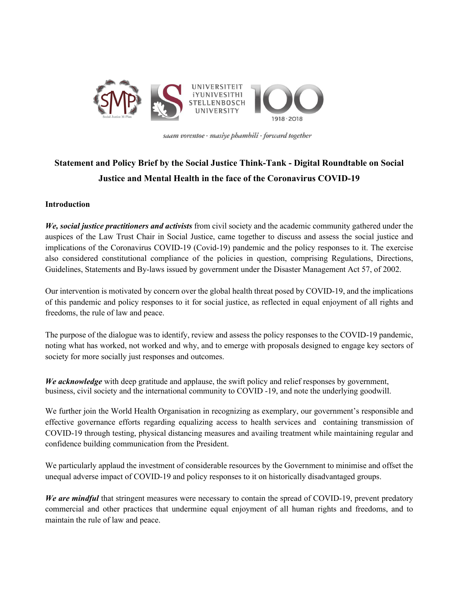

saam vorentoe · masiye phambili · forward together

# **Statement and Policy Brief by the Social Justice Think-Tank - Digital Roundtable on Social Justice and Mental Health in the face of the Coronavirus COVID-19**

#### **Introduction**

*We, social justice practitioners and activists* from civil society and the academic community gathered under the auspices of the Law Trust Chair in Social Justice, came together to discuss and assess the social justice and implications of the Coronavirus COVID-19 (Covid-19) pandemic and the policy responses to it. The exercise also considered constitutional compliance of the policies in question, comprising Regulations, Directions, Guidelines, Statements and By-laws issued by government under the Disaster Management Act 57, of 2002.

Our intervention is motivated by concern over the global health threat posed by COVID-19, and the implications of this pandemic and policy responses to it for social justice, as reflected in equal enjoyment of all rights and freedoms, the rule of law and peace.

The purpose of the dialogue was to identify, review and assess the policy responses to the COVID-19 pandemic, noting what has worked, not worked and why, and to emerge with proposals designed to engage key sectors of society for more socially just responses and outcomes.

*We acknowledge* with deep gratitude and applause, the swift policy and relief responses by government, business, civil society and the international community to COVID -19, and note the underlying goodwill.

We further join the World Health Organisation in recognizing as exemplary, our government's responsible and effective governance efforts regarding equalizing access to health services and containing transmission of COVID-19 through testing, physical distancing measures and availing treatment while maintaining regular and confidence building communication from the President.

We particularly applaud the investment of considerable resources by the Government to minimise and offset the unequal adverse impact of COVID-19 and policy responses to it on historically disadvantaged groups.

*We are mindful* that stringent measures were necessary to contain the spread of COVID-19, prevent predatory commercial and other practices that undermine equal enjoyment of all human rights and freedoms, and to maintain the rule of law and peace.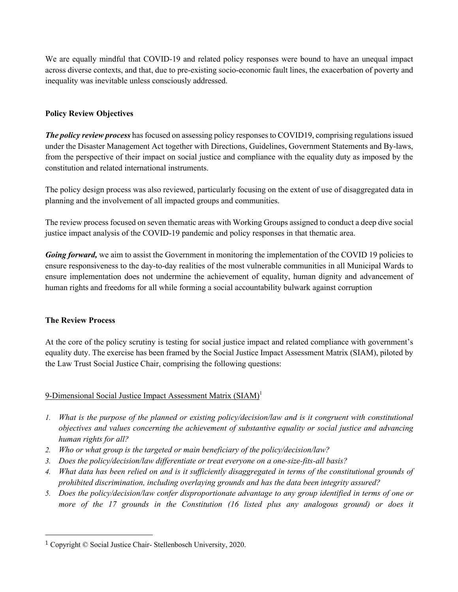We are equally mindful that COVID-19 and related policy responses were bound to have an unequal impact across diverse contexts, and that, due to pre-existing socio-economic fault lines, the exacerbation of poverty and inequality was inevitable unless consciously addressed.

## **Policy Review Objectives**

The policy review process has focused on assessing policy responses to COVID19, comprising regulations issued under the Disaster Management Act together with Directions, Guidelines, Government Statements and By-laws, from the perspective of their impact on social justice and compliance with the equality duty as imposed by the constitution and related international instruments.

The policy design process was also reviewed, particularly focusing on the extent of use of disaggregated data in planning and the involvement of all impacted groups and communities.

The review process focused on seven thematic areas with Working Groups assigned to conduct a deep dive social justice impact analysis of the COVID-19 pandemic and policy responses in that thematic area.

*Going forward,* we aim to assist the Government in monitoring the implementation of the COVID 19 policies to ensure responsiveness to the day-to-day realities of the most vulnerable communities in all Municipal Wards to ensure implementation does not undermine the achievement of equality, human dignity and advancement of human rights and freedoms for all while forming a social accountability bulwark against corruption

## **The Review Process**

At the core of the policy scrutiny is testing for social justice impact and related compliance with government's equality duty. The exercise has been framed by the Social Justice Impact Assessment Matrix (SIAM), piloted by the Law Trust Social Justice Chair, comprising the following questions:

## 9-Dimensional Social Justice Impact Assessment Matrix (SIAM)<sup>1</sup>

- *1. What is the purpose of the planned or existing policy/decision/law and is it congruent with constitutional objectives and values concerning the achievement of substantive equality or social justice and advancing human rights for all?*
- *2. Who or what group is the targeted or main beneficiary of the policy/decision/law?*
- *3. Does the policy/decision/law differentiate or treat everyone on a one-size-fits-all basis?*
- *4. What data has been relied on and is it sufficiently disaggregated in terms of the constitutional grounds of prohibited discrimination, including overlaying grounds and has the data been integrity assured?*
- *5. Does the policy/decision/law confer disproportionate advantage to any group identified in terms of one or more of the 17 grounds in the Constitution (16 listed plus any analogous ground) or does it*

<sup>1</sup> Copyright © Social Justice Chair- Stellenbosch University, 2020.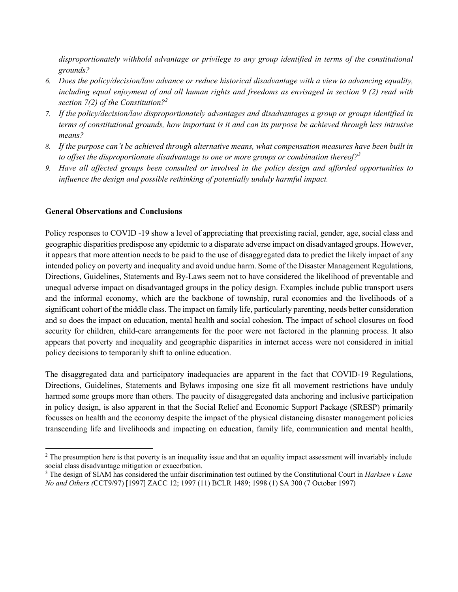*disproportionately withhold advantage or privilege to any group identified in terms of the constitutional grounds?* 

- *6. Does the policy/decision/law advance or reduce historical disadvantage with a view to advancing equality, including equal enjoyment of and all human rights and freedoms as envisaged in section 9 (2) read with section 7(2) of the Constitution?2*
- *7. If the policy/decision/law disproportionately advantages and disadvantages a group or groups identified in terms of constitutional grounds, how important is it and can its purpose be achieved through less intrusive means?*
- *8. If the purpose can't be achieved through alternative means, what compensation measures have been built in to offset the disproportionate disadvantage to one or more groups or combination thereof?<sup>3</sup>*
- *9. Have all affected groups been consulted or involved in the policy design and afforded opportunities to influence the design and possible rethinking of potentially unduly harmful impact.*

#### **General Observations and Conclusions**

Policy responses to COVID -19 show a level of appreciating that preexisting racial, gender, age, social class and geographic disparities predispose any epidemic to a disparate adverse impact on disadvantaged groups. However, it appears that more attention needs to be paid to the use of disaggregated data to predict the likely impact of any intended policy on poverty and inequality and avoid undue harm. Some of the Disaster Management Regulations, Directions, Guidelines, Statements and By-Laws seem not to have considered the likelihood of preventable and unequal adverse impact on disadvantaged groups in the policy design. Examples include public transport users and the informal economy, which are the backbone of township, rural economies and the livelihoods of a significant cohort of the middle class. The impact on family life, particularly parenting, needs better consideration and so does the impact on education, mental health and social cohesion. The impact of school closures on food security for children, child-care arrangements for the poor were not factored in the planning process. It also appears that poverty and inequality and geographic disparities in internet access were not considered in initial policy decisions to temporarily shift to online education.

The disaggregated data and participatory inadequacies are apparent in the fact that COVID-19 Regulations, Directions, Guidelines, Statements and Bylaws imposing one size fit all movement restrictions have unduly harmed some groups more than others. The paucity of disaggregated data anchoring and inclusive participation in policy design, is also apparent in that the Social Relief and Economic Support Package (SRESP) primarily focusses on health and the economy despite the impact of the physical distancing disaster management policies transcending life and livelihoods and impacting on education, family life, communication and mental health,

<sup>&</sup>lt;sup>2</sup> The presumption here is that poverty is an inequality issue and that an equality impact assessment will invariably include social class disadvantage mitigation or exacerbation.

<sup>3</sup> The design of SIAM has considered the unfair discrimination test outlined by the Constitutional Court in *Harksen v Lane No and Others (*CCT9/97) [1997] ZACC 12; 1997 (11) BCLR 1489; 1998 (1) SA 300 (7 October 1997)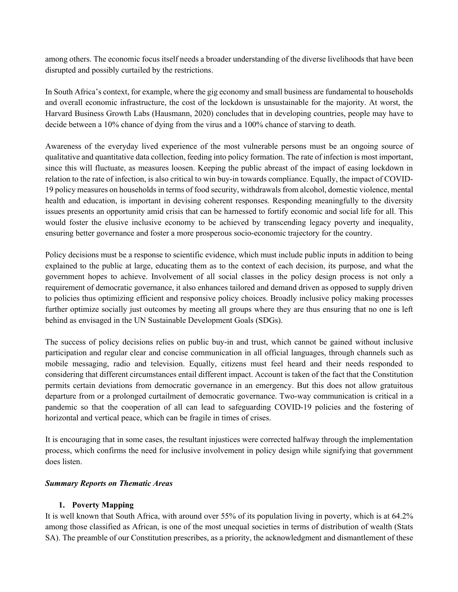among others. The economic focus itself needs a broader understanding of the diverse livelihoods that have been disrupted and possibly curtailed by the restrictions.

In South Africa's context, for example, where the gig economy and small business are fundamental to households and overall economic infrastructure, the cost of the lockdown is unsustainable for the majority. At worst, the Harvard Business Growth Labs (Hausmann, 2020) concludes that in developing countries, people may have to decide between a 10% chance of dying from the virus and a 100% chance of starving to death.

Awareness of the everyday lived experience of the most vulnerable persons must be an ongoing source of qualitative and quantitative data collection, feeding into policy formation. The rate of infection is most important, since this will fluctuate, as measures loosen. Keeping the public abreast of the impact of easing lockdown in relation to the rate of infection, is also critical to win buy-in towards compliance. Equally, the impact of COVID-19 policy measures on households in terms of food security, withdrawals from alcohol, domestic violence, mental health and education, is important in devising coherent responses. Responding meaningfully to the diversity issues presents an opportunity amid crisis that can be harnessed to fortify economic and social life for all. This would foster the elusive inclusive economy to be achieved by transcending legacy poverty and inequality, ensuring better governance and foster a more prosperous socio-economic trajectory for the country.

Policy decisions must be a response to scientific evidence, which must include public inputs in addition to being explained to the public at large, educating them as to the context of each decision, its purpose, and what the government hopes to achieve. Involvement of all social classes in the policy design process is not only a requirement of democratic governance, it also enhances tailored and demand driven as opposed to supply driven to policies thus optimizing efficient and responsive policy choices. Broadly inclusive policy making processes further optimize socially just outcomes by meeting all groups where they are thus ensuring that no one is left behind as envisaged in the UN Sustainable Development Goals (SDGs).

The success of policy decisions relies on public buy-in and trust, which cannot be gained without inclusive participation and regular clear and concise communication in all official languages, through channels such as mobile messaging, radio and television. Equally, citizens must feel heard and their needs responded to considering that different circumstances entail different impact. Account is taken of the fact that the Constitution permits certain deviations from democratic governance in an emergency. But this does not allow gratuitous departure from or a prolonged curtailment of democratic governance. Two-way communication is critical in a pandemic so that the cooperation of all can lead to safeguarding COVID-19 policies and the fostering of horizontal and vertical peace, which can be fragile in times of crises.

It is encouraging that in some cases, the resultant injustices were corrected halfway through the implementation process, which confirms the need for inclusive involvement in policy design while signifying that government does listen.

#### *Summary Reports on Thematic Areas*

## **1. Poverty Mapping**

It is well known that South Africa, with around over 55% of its population living in poverty, which is at 64.2% among those classified as African, is one of the most unequal societies in terms of distribution of wealth (Stats SA). The preamble of our Constitution prescribes, as a priority, the acknowledgment and dismantlement of these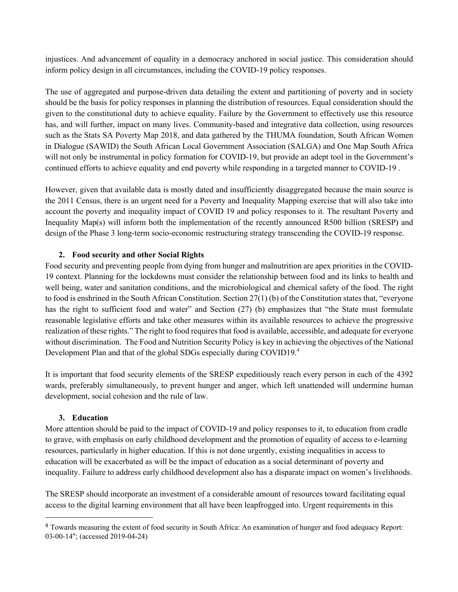injustices. And advancement of equality in a democracy anchored in social justice. This consideration should inform policy design in all circumstances, including the COVID-19 policy responses.

The use of aggregated and purpose-driven data detailing the extent and partitioning of poverty and in society should be the basis for policy responses in planning the distribution of resources. Equal consideration should the given to the constitutional duty to achieve equality. Failure by the Government to effectively use this resource has, and will further, impact on many lives. Community-based and integrative data collection, using resources such as the Stats SA Poverty Map 2018, and data gathered by the THUMA foundation, South African Women in Dialogue (SAWID) the South African Local Government Association (SALGA) and One Map South Africa will not only be instrumental in policy formation for COVID-19, but provide an adept tool in the Government's continued efforts to achieve equality and end poverty while responding in a targeted manner to COVID-19 .

However, given that available data is mostly dated and insufficiently disaggregated because the main source is the 2011 Census, there is an urgent need for a Poverty and Inequality Mapping exercise that will also take into account the poverty and inequality impact of COVID 19 and policy responses to it. The resultant Poverty and Inequality Map(s) will inform both the implementation of the recently announced R500 billion (SRESP) and design of the Phase 3 long-term socio-economic restructuring strategy transcending the COVID-19 response.

## **2. Food security and other Social Rights**

Food security and preventing people from dying from hunger and malnutrition are apex priorities in the COVID-19 context. Planning for the lockdowns must consider the relationship between food and its links to health and well being, water and sanitation conditions, and the microbiological and chemical safety of the food. The right to food is enshrined in the South African Constitution. Section 27(1) (b) of the Constitution states that, "everyone has the right to sufficient food and water" and Section (27) (b) emphasizes that "the State must formulate reasonable legislative efforts and take other measures within its available resources to achieve the progressive realization of these rights." The right to food requires that food is available, accessible, and adequate for everyone without discrimination. The Food and Nutrition Security Policy is key in achieving the objectives of the National Development Plan and that of the global SDGs especially during COVID19.4

It is important that food security elements of the SRESP expeditiously reach every person in each of the 4392 wards, preferably simultaneously, to prevent hunger and anger, which left unattended will undermine human development, social cohesion and the rule of law.

#### **3. Education**

More attention should be paid to the impact of COVID-19 and policy responses to it, to education from cradle to grave, with emphasis on early childhood development and the promotion of equality of access to e-learning resources, particularly in higher education. If this is not done urgently, existing inequalities in access to education will be exacerbated as will be the impact of education as a social determinant of poverty and inequality. Failure to address early childhood development also has a disparate impact on women's livelihoods.

The SRESP should incorporate an investment of a considerable amount of resources toward facilitating equal access to the digital learning environment that all have been leapfrogged into. Urgent requirements in this

<sup>&</sup>lt;sup>4</sup> Towards measuring the extent of food security in South Africa: An examination of hunger and food adequacy Report: 03-00-14"; (accessed 2019-04-24)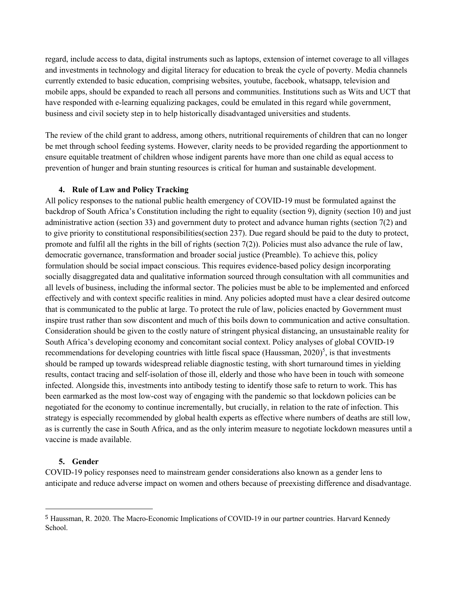regard, include access to data, digital instruments such as laptops, extension of internet coverage to all villages and investments in technology and digital literacy for education to break the cycle of poverty. Media channels currently extended to basic education, comprising websites, youtube, facebook, whatsapp, television and mobile apps, should be expanded to reach all persons and communities. Institutions such as Wits and UCT that have responded with e-learning equalizing packages, could be emulated in this regard while government, business and civil society step in to help historically disadvantaged universities and students.

The review of the child grant to address, among others, nutritional requirements of children that can no longer be met through school feeding systems. However, clarity needs to be provided regarding the apportionment to ensure equitable treatment of children whose indigent parents have more than one child as equal access to prevention of hunger and brain stunting resources is critical for human and sustainable development.

#### **4. Rule of Law and Policy Tracking**

All policy responses to the national public health emergency of COVID-19 must be formulated against the backdrop of South Africa's Constitution including the right to equality (section 9), dignity (section 10) and just administrative action (section 33) and government duty to protect and advance human rights (section 7(2) and to give priority to constitutional responsibilities(section 237). Due regard should be paid to the duty to protect, promote and fulfil all the rights in the bill of rights (section 7(2)). Policies must also advance the rule of law, democratic governance, transformation and broader social justice (Preamble). To achieve this, policy formulation should be social impact conscious. This requires evidence-based policy design incorporating socially disaggregated data and qualitative information sourced through consultation with all communities and all levels of business, including the informal sector. The policies must be able to be implemented and enforced effectively and with context specific realities in mind. Any policies adopted must have a clear desired outcome that is communicated to the public at large. To protect the rule of law, policies enacted by Government must inspire trust rather than sow discontent and much of this boils down to communication and active consultation. Consideration should be given to the costly nature of stringent physical distancing, an unsustainable reality for South Africa's developing economy and concomitant social context. Policy analyses of global COVID-19 recommendations for developing countries with little fiscal space (Haussman,  $2020$ )<sup>5</sup>, is that investments should be ramped up towards widespread reliable diagnostic testing, with short turnaround times in yielding results, contact tracing and self-isolation of those ill, elderly and those who have been in touch with someone infected. Alongside this, investments into antibody testing to identify those safe to return to work. This has been earmarked as the most low-cost way of engaging with the pandemic so that lockdown policies can be negotiated for the economy to continue incrementally, but crucially, in relation to the rate of infection. This strategy is especially recommended by global health experts as effective where numbers of deaths are still low, as is currently the case in South Africa, and as the only interim measure to negotiate lockdown measures until a vaccine is made available.

#### **5. Gender**

COVID-19 policy responses need to mainstream gender considerations also known as a gender lens to anticipate and reduce adverse impact on women and others because of preexisting difference and disadvantage.

<sup>5</sup> Haussman, R. 2020. The Macro-Economic Implications of COVID-19 in our partner countries. Harvard Kennedy School.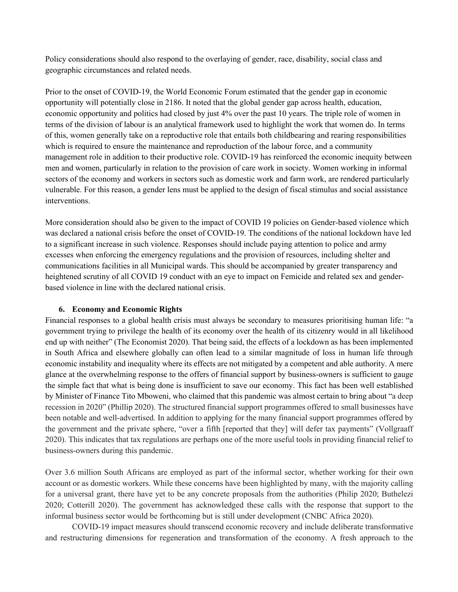Policy considerations should also respond to the overlaying of gender, race, disability, social class and geographic circumstances and related needs.

Prior to the onset of COVID-19, the World Economic Forum estimated that the gender gap in economic opportunity will potentially close in 2186. It noted that the global gender gap across health, education, economic opportunity and politics had closed by just 4% over the past 10 years. The triple role of women in terms of the division of labour is an analytical framework used to highlight the work that women do. In terms of this, women generally take on a reproductive role that entails both childbearing and rearing responsibilities which is required to ensure the maintenance and reproduction of the labour force, and a community management role in addition to their productive role. COVID-19 has reinforced the economic inequity between men and women, particularly in relation to the provision of care work in society. Women working in informal sectors of the economy and workers in sectors such as domestic work and farm work, are rendered particularly vulnerable. For this reason, a gender lens must be applied to the design of fiscal stimulus and social assistance interventions.

More consideration should also be given to the impact of COVID 19 policies on Gender-based violence which was declared a national crisis before the onset of COVID-19. The conditions of the national lockdown have led to a significant increase in such violence. Responses should include paying attention to police and army excesses when enforcing the emergency regulations and the provision of resources, including shelter and communications facilities in all Municipal wards. This should be accompanied by greater transparency and heightened scrutiny of all COVID 19 conduct with an eye to impact on Femicide and related sex and genderbased violence in line with the declared national crisis.

## **6. Economy and Economic Rights**

Financial responses to a global health crisis must always be secondary to measures prioritising human life: "a government trying to privilege the health of its economy over the health of its citizenry would in all likelihood end up with neither" (The Economist 2020). That being said, the effects of a lockdown as has been implemented in South Africa and elsewhere globally can often lead to a similar magnitude of loss in human life through economic instability and inequality where its effects are not mitigated by a competent and able authority. A mere glance at the overwhelming response to the offers of financial support by business-owners is sufficient to gauge the simple fact that what is being done is insufficient to save our economy. This fact has been well established by Minister of Finance Tito Mboweni, who claimed that this pandemic was almost certain to bring about "a deep recession in 2020" (Phillip 2020). The structured financial support programmes offered to small businesses have been notable and well-advertised. In addition to applying for the many financial support programmes offered by the government and the private sphere, "over a fifth [reported that they] will defer tax payments" (Vollgraaff 2020). This indicates that tax regulations are perhaps one of the more useful tools in providing financial relief to business-owners during this pandemic.

Over 3.6 million South Africans are employed as part of the informal sector, whether working for their own account or as domestic workers. While these concerns have been highlighted by many, with the majority calling for a universal grant, there have yet to be any concrete proposals from the authorities (Philip 2020; Buthelezi 2020; Cotterill 2020). The government has acknowledged these calls with the response that support to the informal business sector would be forthcoming but is still under development (CNBC Africa 2020).

COVID-19 impact measures should transcend economic recovery and include deliberate transformative and restructuring dimensions for regeneration and transformation of the economy. A fresh approach to the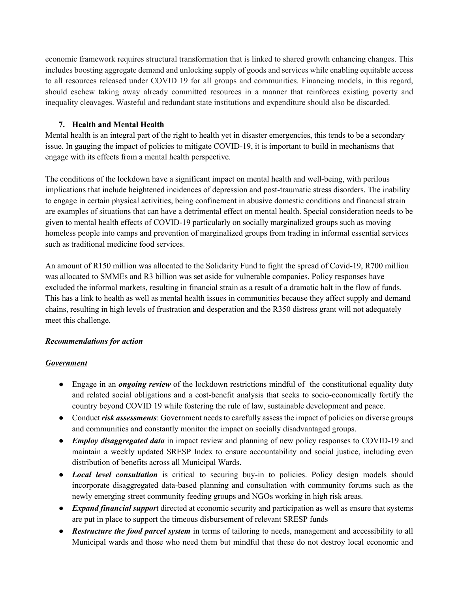economic framework requires structural transformation that is linked to shared growth enhancing changes. This includes boosting aggregate demand and unlocking supply of goods and services while enabling equitable access to all resources released under COVID 19 for all groups and communities. Financing models, in this regard, should eschew taking away already committed resources in a manner that reinforces existing poverty and inequality cleavages. Wasteful and redundant state institutions and expenditure should also be discarded.

## **7. Health and Mental Health**

Mental health is an integral part of the right to health yet in disaster emergencies, this tends to be a secondary issue. In gauging the impact of policies to mitigate COVID-19, it is important to build in mechanisms that engage with its effects from a mental health perspective.

The conditions of the lockdown have a significant impact on mental health and well-being, with perilous implications that include heightened incidences of depression and post-traumatic stress disorders. The inability to engage in certain physical activities, being confinement in abusive domestic conditions and financial strain are examples of situations that can have a detrimental effect on mental health. Special consideration needs to be given to mental health effects of COVID-19 particularly on socially marginalized groups such as moving homeless people into camps and prevention of marginalized groups from trading in informal essential services such as traditional medicine food services.

An amount of R150 million was allocated to the Solidarity Fund to fight the spread of Covid-19, R700 million was allocated to SMMEs and R3 billion was set aside for vulnerable companies. Policy responses have excluded the informal markets, resulting in financial strain as a result of a dramatic halt in the flow of funds. This has a link to health as well as mental health issues in communities because they affect supply and demand chains, resulting in high levels of frustration and desperation and the R350 distress grant will not adequately meet this challenge.

# *Recommendations for action*

## *Government*

- Engage in an *ongoing review* of the lockdown restrictions mindful of the constitutional equality duty and related social obligations and a cost-benefit analysis that seeks to socio-economically fortify the country beyond COVID 19 while fostering the rule of law, sustainable development and peace.
- Conduct *risk assessments*: Government needs to carefully assess the impact of policies on diverse groups and communities and constantly monitor the impact on socially disadvantaged groups.
- *Employ disaggregated data* in impact review and planning of new policy responses to COVID-19 and maintain a weekly updated SRESP Index to ensure accountability and social justice, including even distribution of benefits across all Municipal Wards.
- *Local level consultation* is critical to securing buy-in to policies. Policy design models should incorporate disaggregated data-based planning and consultation with community forums such as the newly emerging street community feeding groups and NGOs working in high risk areas.
- *Expand financial suppor*t directed at economic security and participation as well as ensure that systems are put in place to support the timeous disbursement of relevant SRESP funds
- *Restructure the food parcel system* in terms of tailoring to needs, management and accessibility to all Municipal wards and those who need them but mindful that these do not destroy local economic and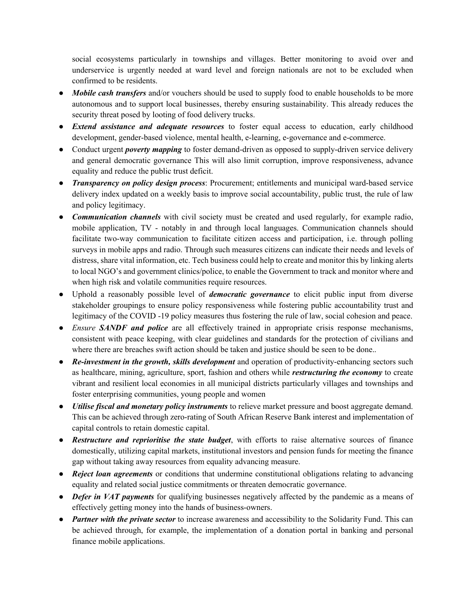social ecosystems particularly in townships and villages. Better monitoring to avoid over and underservice is urgently needed at ward level and foreign nationals are not to be excluded when confirmed to be residents.

- *Mobile cash transfers* and/or vouchers should be used to supply food to enable households to be more autonomous and to support local businesses, thereby ensuring sustainability. This already reduces the security threat posed by looting of food delivery trucks.
- *Extend assistance and adequate resources* to foster equal access to education, early childhood development, gender-based violence, mental health, e-learning, e-governance and e-commerce.
- Conduct urgent *poverty mapping* to foster demand-driven as opposed to supply-driven service delivery and general democratic governance This will also limit corruption, improve responsiveness, advance equality and reduce the public trust deficit.
- *Transparency on policy design process*: Procurement; entitlements and municipal ward-based service delivery index updated on a weekly basis to improve social accountability, public trust, the rule of law and policy legitimacy.
- *Communication channels* with civil society must be created and used regularly, for example radio, mobile application, TV - notably in and through local languages. Communication channels should facilitate two-way communication to facilitate citizen access and participation, i.e. through polling surveys in mobile apps and radio. Through such measures citizens can indicate their needs and levels of distress, share vital information, etc. Tech business could help to create and monitor this by linking alerts to local NGO's and government clinics/police, to enable the Government to track and monitor where and when high risk and volatile communities require resources.
- Uphold a reasonably possible level of *democratic governance* to elicit public input from diverse stakeholder groupings to ensure policy responsiveness while fostering public accountability trust and legitimacy of the COVID -19 policy measures thus fostering the rule of law, social cohesion and peace.
- *Ensure SANDF and police* are all effectively trained in appropriate crisis response mechanisms, consistent with peace keeping, with clear guidelines and standards for the protection of civilians and where there are breaches swift action should be taken and justice should be seen to be done..
- *Re-investment in the growth, skills development* and operation of productivity-enhancing sectors such as healthcare, mining, agriculture, sport, fashion and others while *restructuring the economy* to create vibrant and resilient local economies in all municipal districts particularly villages and townships and foster enterprising communities, young people and women
- *Utilise fiscal and monetary policy instruments* to relieve market pressure and boost aggregate demand. This can be achieved through zero-rating of South African Reserve Bank interest and implementation of capital controls to retain domestic capital.
- *Restructure and reprioritise the state budget*, with efforts to raise alternative sources of finance domestically, utilizing capital markets, institutional investors and pension funds for meeting the finance gap without taking away resources from equality advancing measure.
- *Reject loan agreements* or conditions that undermine constitutional obligations relating to advancing equality and related social justice commitments or threaten democratic governance.
- *Defer in VAT payments* for qualifying businesses negatively affected by the pandemic as a means of effectively getting money into the hands of business-owners.
- *Partner with the private sector* to increase awareness and accessibility to the Solidarity Fund. This can be achieved through, for example, the implementation of a donation portal in banking and personal finance mobile applications.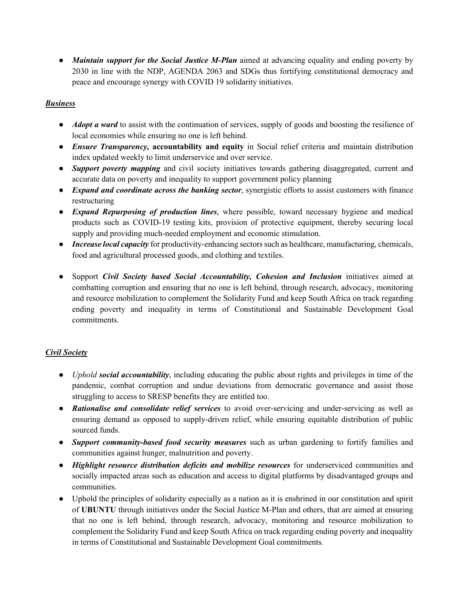• *Maintain support for the Social Justice M-Plan* aimed at advancing equality and ending poverty by 2030 in line with the NDP, AGENDA 2063 and SDGs thus fortifying constitutional democracy and peace and encourage synergy with COVID 19 solidarity initiatives.

## *Business*

- *Adopt a ward* to assist with the continuation of services, supply of goods and boosting the resilience of local economies while ensuring no one is left behind.
- *Ensure Transparency,* **accountability and equity** in Social relief criteria and maintain distribution index updated weekly to limit underservice and over service.
- *Support poverty mapping* and civil society initiatives towards gathering disaggregated, current and accurate data on poverty and inequality to support government policy planning
- *Expand and coordinate across the banking sector*, synergistic efforts to assist customers with finance restructuring
- *Expand Repurposing of production lines*, where possible, toward necessary hygiene and medical products such as COVID-19 testing kits, provision of protective equipment, thereby securing local supply and providing much-needed employment and economic stimulation.
- *Increase local capacity* for productivity-enhancing sectors such as healthcare, manufacturing, chemicals, food and agricultural processed goods, and clothing and textiles.
- Support *Civil Society based Social Accountability, Cohesion and Inclusion* initiatives aimed at combatting corruption and ensuring that no one is left behind, through research, advocacy, monitoring and resource mobilization to complement the Solidarity Fund and keep South Africa on track regarding ending poverty and inequality in terms of Constitutional and Sustainable Development Goal commitments.

# *Civil Society*

- *Uphold social accountability*, including educating the public about rights and privileges in time of the pandemic, combat corruption and undue deviations from democratic governance and assist those struggling to access to SRESP benefits they are entitled too.
- *Rationalise and consolidate relief services* to avoid over-servicing and under-servicing as well as ensuring demand as opposed to supply-driven relief, while ensuring equitable distribution of public sourced funds.
- *Support community-based food security measures* such as urban gardening to fortify families and communities against hunger, malnutrition and poverty.
- *Highlight resource distribution deficits and mobilize resources* for underserviced communities and socially impacted areas such as education and access to digital platforms by disadvantaged groups and communities.
- Uphold the principles of solidarity especially as a nation as it is enshrined in our constitution and spirit of **UBUNTU** through initiatives under the Social Justice M-Plan and others, that are aimed at ensuring that no one is left behind, through research, advocacy, monitoring and resource mobilization to complement the Solidarity Fund and keep South Africa on track regarding ending poverty and inequality in terms of Constitutional and Sustainable Development Goal commitments.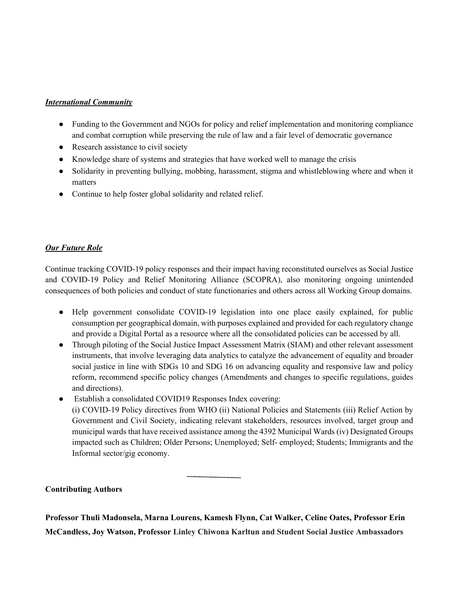## *International Community*

- Funding to the Government and NGOs for policy and relief implementation and monitoring compliance and combat corruption while preserving the rule of law and a fair level of democratic governance
- Research assistance to civil society
- Knowledge share of systems and strategies that have worked well to manage the crisis
- Solidarity in preventing bullying, mobbing, harassment, stigma and whistleblowing where and when it matters
- Continue to help foster global solidarity and related relief.

## *Our Future Role*

Continue tracking COVID-19 policy responses and their impact having reconstituted ourselves as Social Justice and COVID-19 Policy and Relief Monitoring Alliance (SCOPRA), also monitoring ongoing unintended consequences of both policies and conduct of state functionaries and others across all Working Group domains.

- Help government consolidate COVID-19 legislation into one place easily explained, for public consumption per geographical domain, with purposes explained and provided for each regulatory change and provide a Digital Portal as a resource where all the consolidated policies can be accessed by all.
- Through piloting of the Social Justice Impact Assessment Matrix (SIAM) and other relevant assessment instruments, that involve leveraging data analytics to catalyze the advancement of equality and broader social justice in line with SDGs 10 and SDG 16 on advancing equality and responsive law and policy reform, recommend specific policy changes (Amendments and changes to specific regulations, guides and directions).
- Establish a consolidated COVID19 Responses Index covering: (i) COVID-19 Policy directives from WHO (ii) National Policies and Statements (iii) Relief Action by Government and Civil Society, indicating relevant stakeholders, resources involved, target group and municipal wards that have received assistance among the 4392 Municipal Wards (iv) Designated Groups impacted such as Children; Older Persons; Unemployed; Self- employed; Students; Immigrants and the Informal sector/gig economy.

# **Contributing Authors**

**Professor Thuli Madonsela, Marna Lourens, Kamesh Flynn, Cat Walker, Celine Oates, Professor Erin McCandless, Joy Watson, Professor Linley Chiwona Karltun and Student Social Justice Ambassadors**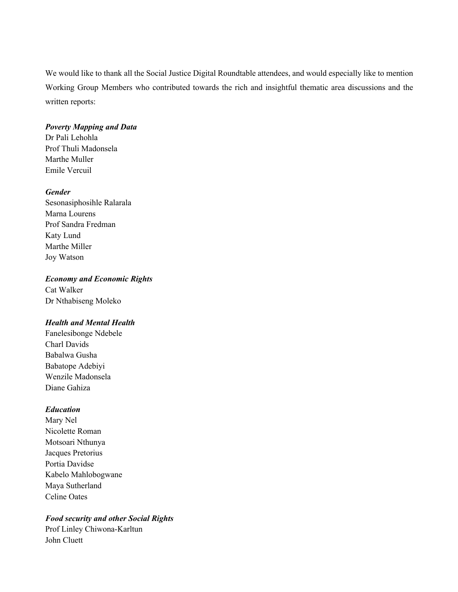We would like to thank all the Social Justice Digital Roundtable attendees, and would especially like to mention Working Group Members who contributed towards the rich and insightful thematic area discussions and the written reports:

#### *Poverty Mapping and Data*

Dr Pali Lehohla Prof Thuli Madonsela Marthe Muller Emile Vercuil

#### *Gender*

Sesonasiphosihle Ralarala Marna Lourens Prof Sandra Fredman Katy Lund Marthe Miller Joy Watson

#### *Economy and Economic Rights*

Cat Walker Dr Nthabiseng Moleko

#### *Health and Mental Health*

Fanelesibonge Ndebele Charl Davids Babalwa Gusha Babatope Adebiyi Wenzile Madonsela Diane Gahiza

#### *Education*

Mary Nel Nicolette Roman Motsoari Nthunya Jacques Pretorius Portia Davidse Kabelo Mahlobogwane Maya Sutherland Celine Oates

# *Food security and other Social Rights*

Prof Linley Chiwona-Karltun John Cluett